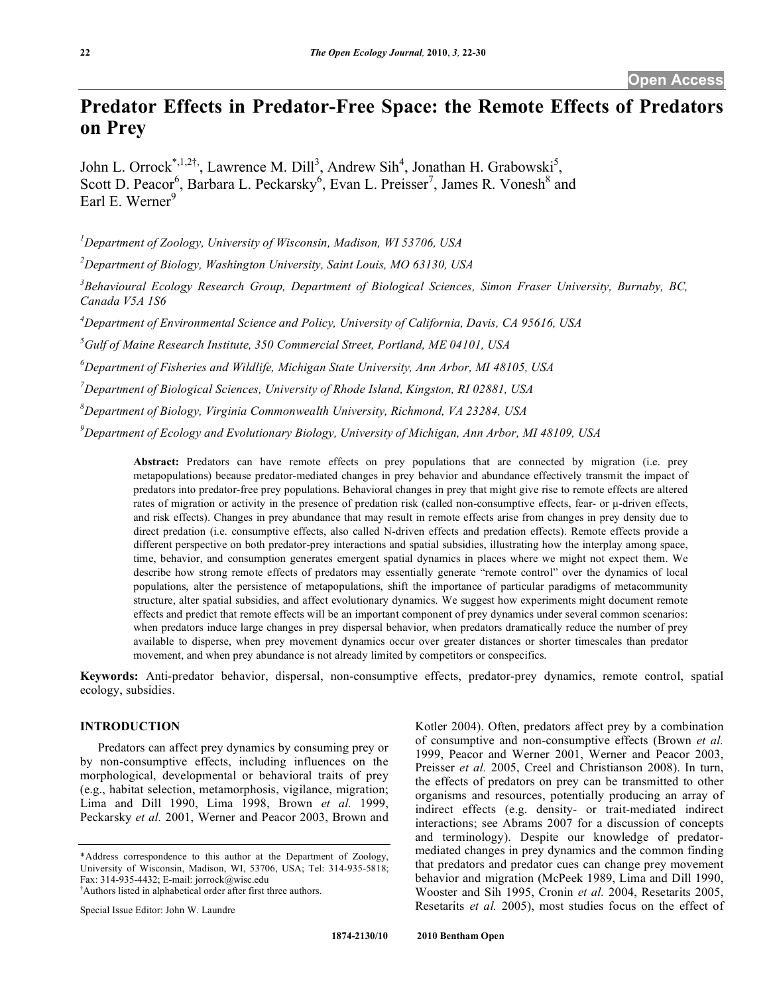# **Predator Effects in Predator-Free Space: the Remote Effects of Predators on Prey**

John L. Orrock<sup>\*,1,2†</sup>, Lawrence M. Dill<sup>3</sup>, Andrew Sih<sup>4</sup>, Jonathan H. Grabowski<sup>5</sup>, Scott D. Peacor<sup>6</sup>, Barbara L. Peckarsky<sup>6</sup>, Evan L. Preisser<sup>7</sup>, James R. Vonesh<sup>8</sup> and Earl E. Werner<sup>9</sup>

*1 Department of Zoology, University of Wisconsin, Madison, WI 53706, USA*

*2 Department of Biology, Washington University, Saint Louis, MO 63130, USA*

*3 Behavioural Ecology Research Group, Department of Biological Sciences, Simon Fraser University, Burnaby, BC, Canada V5A 1S6*

*4 Department of Environmental Science and Policy, University of California, Davis, CA 95616, USA*

*5 Gulf of Maine Research Institute, 350 Commercial Street, Portland, ME 04101, USA*

*6 Department of Fisheries and Wildlife, Michigan State University, Ann Arbor, MI 48105, USA*

*7 Department of Biological Sciences, University of Rhode Island, Kingston, RI 02881, USA*

*8 Department of Biology, Virginia Commonwealth University, Richmond, VA 23284, USA*

*9 Department of Ecology and Evolutionary Biology, University of Michigan, Ann Arbor, MI 48109, USA*

**Abstract:** Predators can have remote effects on prey populations that are connected by migration (i.e. prey metapopulations) because predator-mediated changes in prey behavior and abundance effectively transmit the impact of predators into predator-free prey populations. Behavioral changes in prey that might give rise to remote effects are altered rates of migration or activity in the presence of predation risk (called non-consumptive effects, fear- or µ-driven effects, and risk effects). Changes in prey abundance that may result in remote effects arise from changes in prey density due to direct predation (i.e. consumptive effects, also called N-driven effects and predation effects). Remote effects provide a different perspective on both predator-prey interactions and spatial subsidies, illustrating how the interplay among space, time, behavior, and consumption generates emergent spatial dynamics in places where we might not expect them. We describe how strong remote effects of predators may essentially generate "remote control" over the dynamics of local populations, alter the persistence of metapopulations, shift the importance of particular paradigms of metacommunity structure, alter spatial subsidies, and affect evolutionary dynamics. We suggest how experiments might document remote effects and predict that remote effects will be an important component of prey dynamics under several common scenarios: when predators induce large changes in prey dispersal behavior, when predators dramatically reduce the number of prey available to disperse, when prey movement dynamics occur over greater distances or shorter timescales than predator movement, and when prey abundance is not already limited by competitors or conspecifics.

**Keywords:** Anti-predator behavior, dispersal, non-consumptive effects, predator-prey dynamics, remote control, spatial ecology, subsidies.

# **INTRODUCTION**

Predators can affect prey dynamics by consuming prey or by non-consumptive effects, including influences on the morphological, developmental or behavioral traits of prey (e.g., habitat selection, metamorphosis, vigilance, migration; Lima and Dill 1990, Lima 1998, Brown *et al.* 1999, Peckarsky *et al.* 2001, Werner and Peacor 2003, Brown and

† Authors listed in alphabetical order after first three authors.

Special Issue Editor: John W. Laundre

Kotler 2004). Often, predators affect prey by a combination of consumptive and non-consumptive effects (Brown *et al.* 1999, Peacor and Werner 2001, Werner and Peacor 2003, Preisser *et al.* 2005, Creel and Christianson 2008). In turn, the effects of predators on prey can be transmitted to other organisms and resources, potentially producing an array of indirect effects (e.g. density- or trait-mediated indirect interactions; see Abrams 2007 for a discussion of concepts and terminology). Despite our knowledge of predatormediated changes in prey dynamics and the common finding that predators and predator cues can change prey movement behavior and migration (McPeek 1989, Lima and Dill 1990, Wooster and Sih 1995, Cronin *et al.* 2004, Resetarits 2005, Resetarits *et al.* 2005), most studies focus on the effect of

<sup>\*</sup>Address correspondence to this author at the Department of Zoology, University of Wisconsin, Madison, WI, 53706, USA; Tel: 314-935-5818; Fax: 314-935-4432; E-mail: jorrock@wisc.edu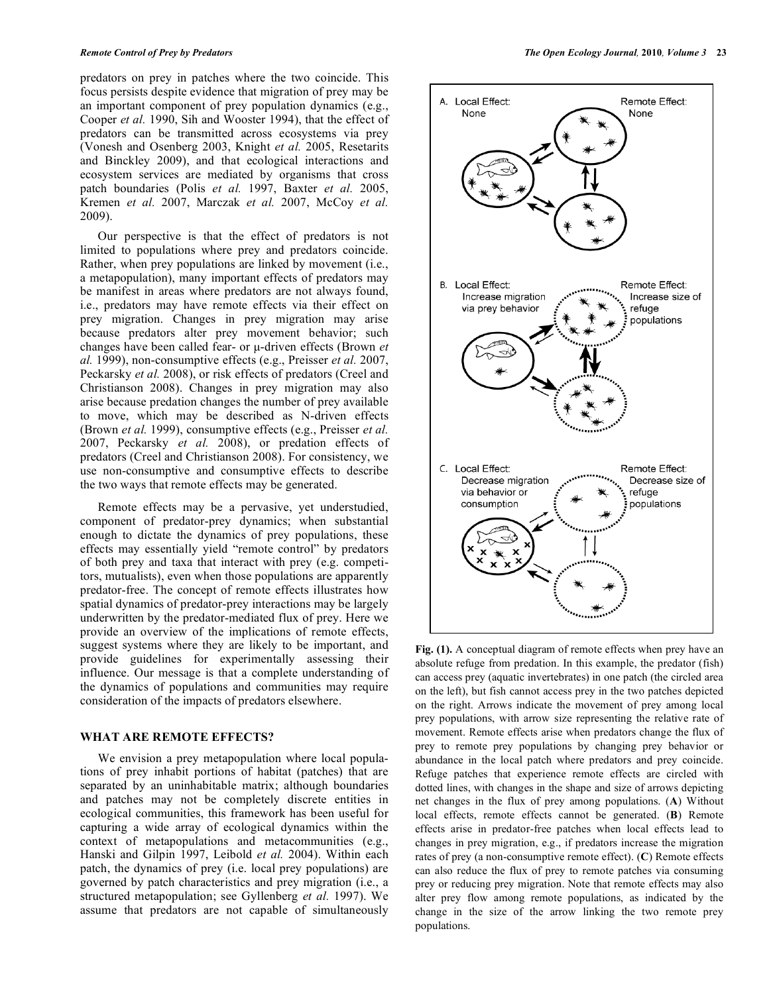predators on prey in patches where the two coincide. This focus persists despite evidence that migration of prey may be an important component of prey population dynamics (e.g., Cooper *et al.* 1990, Sih and Wooster 1994), that the effect of predators can be transmitted across ecosystems via prey (Vonesh and Osenberg 2003, Knight *et al.* 2005, Resetarits and Binckley 2009), and that ecological interactions and ecosystem services are mediated by organisms that cross patch boundaries (Polis *et al.* 1997, Baxter *et al.* 2005, Kremen *et al.* 2007, Marczak *et al.* 2007, McCoy *et al.*  2009).

Our perspective is that the effect of predators is not limited to populations where prey and predators coincide. Rather, when prey populations are linked by movement (i.e., a metapopulation), many important effects of predators may be manifest in areas where predators are not always found, i.e., predators may have remote effects via their effect on prey migration. Changes in prey migration may arise because predators alter prey movement behavior; such changes have been called fear- or µ-driven effects (Brown *et al.* 1999), non-consumptive effects (e.g., Preisser *et al.* 2007, Peckarsky *et al.* 2008), or risk effects of predators (Creel and Christianson 2008). Changes in prey migration may also arise because predation changes the number of prey available to move, which may be described as N-driven effects (Brown *et al.* 1999), consumptive effects (e.g., Preisser *et al.*  2007, Peckarsky *et al.* 2008), or predation effects of predators (Creel and Christianson 2008). For consistency, we use non-consumptive and consumptive effects to describe the two ways that remote effects may be generated.

Remote effects may be a pervasive, yet understudied, component of predator-prey dynamics; when substantial enough to dictate the dynamics of prey populations, these effects may essentially yield "remote control" by predators of both prey and taxa that interact with prey (e.g. competitors, mutualists), even when those populations are apparently predator-free. The concept of remote effects illustrates how spatial dynamics of predator-prey interactions may be largely underwritten by the predator-mediated flux of prey. Here we provide an overview of the implications of remote effects, suggest systems where they are likely to be important, and provide guidelines for experimentally assessing their influence. Our message is that a complete understanding of the dynamics of populations and communities may require consideration of the impacts of predators elsewhere.

### **WHAT ARE REMOTE EFFECTS?**

We envision a prey metapopulation where local populations of prey inhabit portions of habitat (patches) that are separated by an uninhabitable matrix; although boundaries and patches may not be completely discrete entities in ecological communities, this framework has been useful for capturing a wide array of ecological dynamics within the context of metapopulations and metacommunities (e.g., Hanski and Gilpin 1997, Leibold *et al.* 2004). Within each patch, the dynamics of prey (i.e. local prey populations) are governed by patch characteristics and prey migration (i.e., a structured metapopulation; see Gyllenberg *et al.* 1997). We assume that predators are not capable of simultaneously



**Fig. (1).** A conceptual diagram of remote effects when prey have an absolute refuge from predation. In this example, the predator (fish) can access prey (aquatic invertebrates) in one patch (the circled area on the left), but fish cannot access prey in the two patches depicted on the right. Arrows indicate the movement of prey among local prey populations, with arrow size representing the relative rate of movement. Remote effects arise when predators change the flux of prey to remote prey populations by changing prey behavior or abundance in the local patch where predators and prey coincide. Refuge patches that experience remote effects are circled with dotted lines, with changes in the shape and size of arrows depicting net changes in the flux of prey among populations. (**A**) Without local effects, remote effects cannot be generated. (**B**) Remote effects arise in predator-free patches when local effects lead to changes in prey migration, e.g., if predators increase the migration rates of prey (a non-consumptive remote effect). (**C**) Remote effects can also reduce the flux of prey to remote patches via consuming prey or reducing prey migration. Note that remote effects may also alter prey flow among remote populations, as indicated by the change in the size of the arrow linking the two remote prey populations.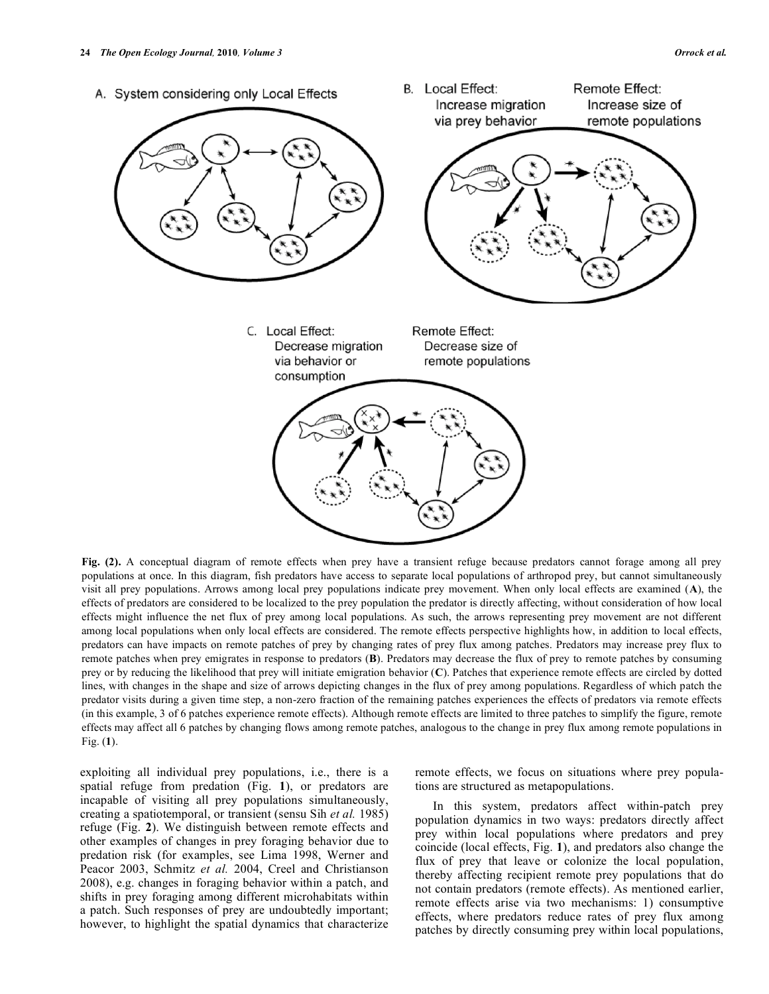

**Fig. (2).** A conceptual diagram of remote effects when prey have a transient refuge because predators cannot forage among all prey populations at once. In this diagram, fish predators have access to separate local populations of arthropod prey, but cannot simultaneously visit all prey populations. Arrows among local prey populations indicate prey movement. When only local effects are examined (**A**), the effects of predators are considered to be localized to the prey population the predator is directly affecting, without consideration of how local effects might influence the net flux of prey among local populations. As such, the arrows representing prey movement are not different among local populations when only local effects are considered. The remote effects perspective highlights how, in addition to local effects, predators can have impacts on remote patches of prey by changing rates of prey flux among patches. Predators may increase prey flux to remote patches when prey emigrates in response to predators (**B**). Predators may decrease the flux of prey to remote patches by consuming prey or by reducing the likelihood that prey will initiate emigration behavior (**C**). Patches that experience remote effects are circled by dotted lines, with changes in the shape and size of arrows depicting changes in the flux of prey among populations. Regardless of which patch the predator visits during a given time step, a non-zero fraction of the remaining patches experiences the effects of predators via remote effects (in this example, 3 of 6 patches experience remote effects). Although remote effects are limited to three patches to simplify the figure, remote effects may affect all 6 patches by changing flows among remote patches, analogous to the change in prey flux among remote populations in Fig. (**1**).

exploiting all individual prey populations, i.e., there is a spatial refuge from predation (Fig. **1**), or predators are incapable of visiting all prey populations simultaneously, creating a spatiotemporal, or transient (sensu Sih *et al.* 1985) refuge (Fig. **2**). We distinguish between remote effects and other examples of changes in prey foraging behavior due to predation risk (for examples, see Lima 1998, Werner and Peacor 2003, Schmitz *et al.* 2004, Creel and Christianson 2008), e.g. changes in foraging behavior within a patch, and shifts in prey foraging among different microhabitats within a patch. Such responses of prey are undoubtedly important; however, to highlight the spatial dynamics that characterize remote effects, we focus on situations where prey populations are structured as metapopulations.

In this system, predators affect within-patch prey population dynamics in two ways: predators directly affect prey within local populations where predators and prey coincide (local effects, Fig. **1**), and predators also change the flux of prey that leave or colonize the local population, thereby affecting recipient remote prey populations that do not contain predators (remote effects). As mentioned earlier, remote effects arise via two mechanisms: 1) consumptive effects, where predators reduce rates of prey flux among patches by directly consuming prey within local populations,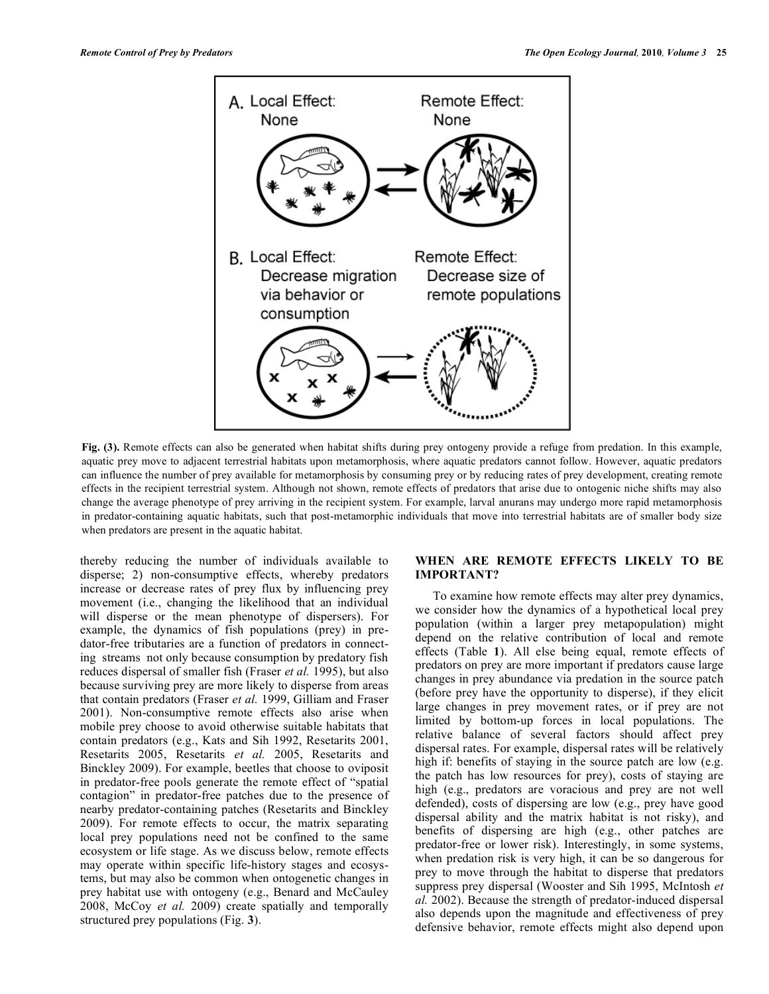

**Fig. (3).** Remote effects can also be generated when habitat shifts during prey ontogeny provide a refuge from predation. In this example, aquatic prey move to adjacent terrestrial habitats upon metamorphosis, where aquatic predators cannot follow. However, aquatic predators can influence the number of prey available for metamorphosis by consuming prey or by reducing rates of prey development, creating remote effects in the recipient terrestrial system. Although not shown, remote effects of predators that arise due to ontogenic niche shifts may also change the average phenotype of prey arriving in the recipient system. For example, larval anurans may undergo more rapid metamorphosis in predator-containing aquatic habitats, such that post-metamorphic individuals that move into terrestrial habitats are of smaller body size when predators are present in the aquatic habitat.

thereby reducing the number of individuals available to disperse; 2) non-consumptive effects, whereby predators increase or decrease rates of prey flux by influencing prey movement (i.e., changing the likelihood that an individual will disperse or the mean phenotype of dispersers). For example, the dynamics of fish populations (prey) in predator-free tributaries are a function of predators in connecting streams not only because consumption by predatory fish reduces dispersal of smaller fish (Fraser *et al.* 1995), but also because surviving prey are more likely to disperse from areas that contain predators (Fraser *et al.* 1999, Gilliam and Fraser 2001). Non-consumptive remote effects also arise when mobile prey choose to avoid otherwise suitable habitats that contain predators (e.g., Kats and Sih 1992, Resetarits 2001, Resetarits 2005, Resetarits *et al.* 2005, Resetarits and Binckley 2009). For example, beetles that choose to oviposit in predator-free pools generate the remote effect of "spatial contagion" in predator-free patches due to the presence of nearby predator-containing patches (Resetarits and Binckley 2009). For remote effects to occur, the matrix separating local prey populations need not be confined to the same ecosystem or life stage. As we discuss below, remote effects may operate within specific life-history stages and ecosystems, but may also be common when ontogenetic changes in prey habitat use with ontogeny (e.g., Benard and McCauley 2008, McCoy *et al.* 2009) create spatially and temporally structured prey populations (Fig. **3**).

# **WHEN ARE REMOTE EFFECTS LIKELY TO BE IMPORTANT?**

To examine how remote effects may alter prey dynamics, we consider how the dynamics of a hypothetical local prey population (within a larger prey metapopulation) might depend on the relative contribution of local and remote effects (Table **1**). All else being equal, remote effects of predators on prey are more important if predators cause large changes in prey abundance via predation in the source patch (before prey have the opportunity to disperse), if they elicit large changes in prey movement rates, or if prey are not limited by bottom-up forces in local populations. The relative balance of several factors should affect prey dispersal rates. For example, dispersal rates will be relatively high if: benefits of staving in the source patch are low (e.g. the patch has low resources for prey), costs of staying are high (e.g., predators are voracious and prey are not well defended), costs of dispersing are low (e.g., prey have good dispersal ability and the matrix habitat is not risky), and benefits of dispersing are high (e.g., other patches are predator-free or lower risk). Interestingly, in some systems, when predation risk is very high, it can be so dangerous for prey to move through the habitat to disperse that predators suppress prey dispersal (Wooster and Sih 1995, McIntosh *et al.* 2002). Because the strength of predator-induced dispersal also depends upon the magnitude and effectiveness of prey defensive behavior, remote effects might also depend upon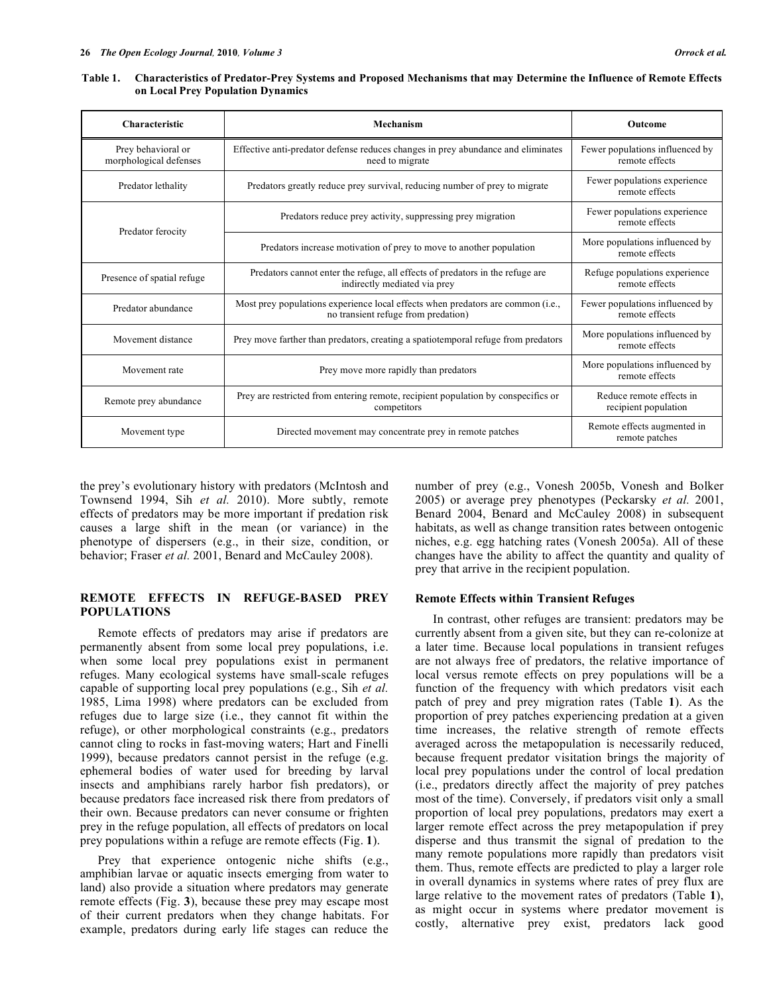Table 1. Characteristics of Predator-Prey Systems and Proposed Mechanisms that may Determine the Influence of Remote Effects **on Local Prey Population Dynamics**

| Characteristic                               | Mechanism                                                                                                              | Outcome                                           |
|----------------------------------------------|------------------------------------------------------------------------------------------------------------------------|---------------------------------------------------|
| Prey behavioral or<br>morphological defenses | Effective anti-predator defense reduces changes in prey abundance and eliminates<br>need to migrate                    | Fewer populations influenced by<br>remote effects |
| Predator lethality                           | Predators greatly reduce prey survival, reducing number of prey to migrate                                             | Fewer populations experience<br>remote effects    |
| Predator ferocity                            | Predators reduce prey activity, suppressing prey migration                                                             | Fewer populations experience<br>remote effects    |
|                                              | Predators increase motivation of prey to move to another population                                                    | More populations influenced by<br>remote effects  |
| Presence of spatial refuge.                  | Predators cannot enter the refuge, all effects of predators in the refuge are<br>indirectly mediated via prey          | Refuge populations experience<br>remote effects   |
| Predator abundance                           | Most prey populations experience local effects when predators are common (i.e.,<br>no transient refuge from predation) | Fewer populations influenced by<br>remote effects |
| Movement distance                            | Prey move farther than predators, creating a spatiotemporal refuge from predators                                      | More populations influenced by<br>remote effects  |
| Movement rate                                | Prey move more rapidly than predators                                                                                  | More populations influenced by<br>remote effects  |
| Remote prey abundance                        | Prey are restricted from entering remote, recipient population by conspecifics or<br>competitors                       | Reduce remote effects in<br>recipient population  |
| Movement type                                | Directed movement may concentrate prey in remote patches                                                               | Remote effects augmented in<br>remote patches     |

the prey's evolutionary history with predators (McIntosh and Townsend 1994, Sih *et al.* 2010). More subtly, remote effects of predators may be more important if predation risk causes a large shift in the mean (or variance) in the phenotype of dispersers (e.g., in their size, condition, or behavior; Fraser *et al.* 2001, Benard and McCauley 2008).

### **REMOTE EFFECTS IN REFUGE-BASED PREY POPULATIONS**

Remote effects of predators may arise if predators are permanently absent from some local prey populations, i.e. when some local prey populations exist in permanent refuges. Many ecological systems have small-scale refuges capable of supporting local prey populations (e.g., Sih *et al.* 1985, Lima 1998) where predators can be excluded from refuges due to large size (i.e., they cannot fit within the refuge), or other morphological constraints (e.g., predators cannot cling to rocks in fast-moving waters; Hart and Finelli 1999), because predators cannot persist in the refuge (e.g. ephemeral bodies of water used for breeding by larval insects and amphibians rarely harbor fish predators), or because predators face increased risk there from predators of their own. Because predators can never consume or frighten prey in the refuge population, all effects of predators on local prey populations within a refuge are remote effects (Fig. **1**).

Prey that experience ontogenic niche shifts (e.g., amphibian larvae or aquatic insects emerging from water to land) also provide a situation where predators may generate remote effects (Fig. **3**), because these prey may escape most of their current predators when they change habitats. For example, predators during early life stages can reduce the number of prey (e.g., Vonesh 2005b, Vonesh and Bolker 2005) or average prey phenotypes (Peckarsky *et al.* 2001, Benard 2004, Benard and McCauley 2008) in subsequent habitats, as well as change transition rates between ontogenic niches, e.g. egg hatching rates (Vonesh 2005a). All of these changes have the ability to affect the quantity and quality of prey that arrive in the recipient population.

#### **Remote Effects within Transient Refuges**

In contrast, other refuges are transient: predators may be currently absent from a given site, but they can re-colonize at a later time. Because local populations in transient refuges are not always free of predators, the relative importance of local versus remote effects on prey populations will be a function of the frequency with which predators visit each patch of prey and prey migration rates (Table **1**). As the proportion of prey patches experiencing predation at a given time increases, the relative strength of remote effects averaged across the metapopulation is necessarily reduced, because frequent predator visitation brings the majority of local prey populations under the control of local predation (i.e., predators directly affect the majority of prey patches most of the time). Conversely, if predators visit only a small proportion of local prey populations, predators may exert a larger remote effect across the prey metapopulation if prey disperse and thus transmit the signal of predation to the many remote populations more rapidly than predators visit them. Thus, remote effects are predicted to play a larger role in overall dynamics in systems where rates of prey flux are large relative to the movement rates of predators (Table **1**), as might occur in systems where predator movement is costly, alternative prey exist, predators lack good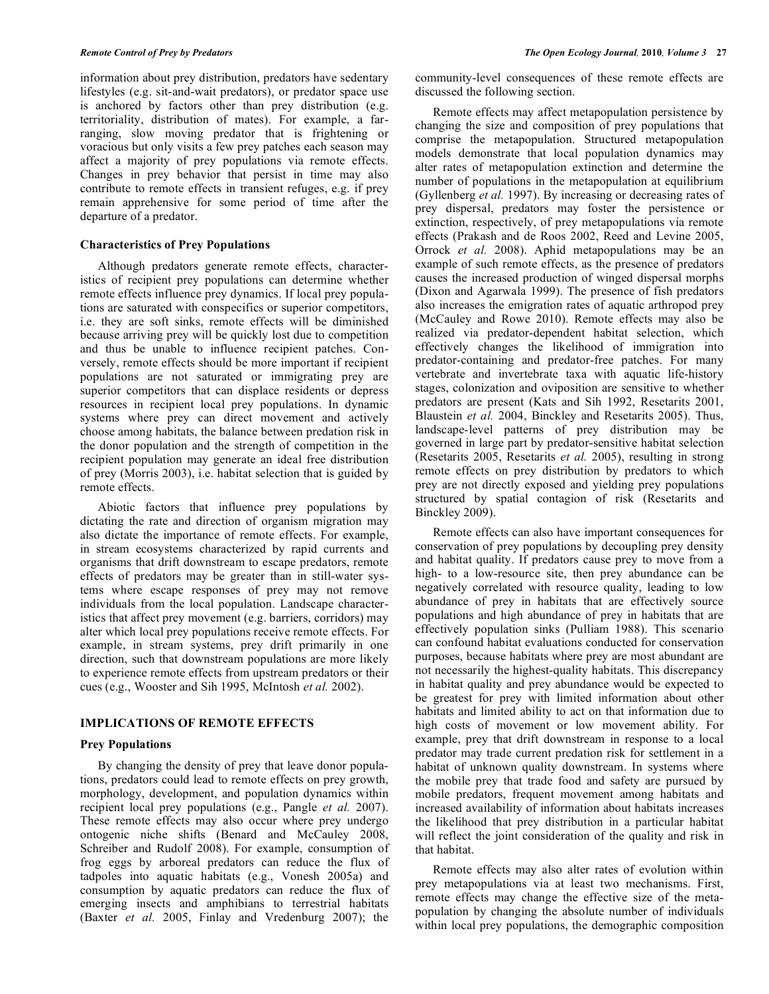information about prey distribution, predators have sedentary lifestyles (e.g. sit-and-wait predators), or predator space use is anchored by factors other than prey distribution (e.g. territoriality, distribution of mates). For example, a farranging, slow moving predator that is frightening or voracious but only visits a few prey patches each season may affect a majority of prey populations via remote effects. Changes in prey behavior that persist in time may also contribute to remote effects in transient refuges, e.g. if prey remain apprehensive for some period of time after the departure of a predator.

# **Characteristics of Prey Populations**

Although predators generate remote effects, characteristics of recipient prey populations can determine whether remote effects influence prey dynamics. If local prey populations are saturated with conspecifics or superior competitors, i.e. they are soft sinks, remote effects will be diminished because arriving prey will be quickly lost due to competition and thus be unable to influence recipient patches. Conversely, remote effects should be more important if recipient populations are not saturated or immigrating prey are superior competitors that can displace residents or depress resources in recipient local prey populations. In dynamic systems where prey can direct movement and actively choose among habitats, the balance between predation risk in the donor population and the strength of competition in the recipient population may generate an ideal free distribution of prey (Morris 2003), i.e. habitat selection that is guided by remote effects.

Abiotic factors that influence prey populations by dictating the rate and direction of organism migration may also dictate the importance of remote effects. For example, in stream ecosystems characterized by rapid currents and organisms that drift downstream to escape predators, remote effects of predators may be greater than in still-water systems where escape responses of prey may not remove individuals from the local population. Landscape characteristics that affect prey movement (e.g. barriers, corridors) may alter which local prey populations receive remote effects. For example, in stream systems, prey drift primarily in one direction, such that downstream populations are more likely to experience remote effects from upstream predators or their cues (e.g., Wooster and Sih 1995, McIntosh *et al.* 2002).

# **IMPLICATIONS OF REMOTE EFFECTS**

## **Prey Populations**

By changing the density of prey that leave donor populations, predators could lead to remote effects on prey growth, morphology, development, and population dynamics within recipient local prey populations (e.g., Pangle *et al.* 2007). These remote effects may also occur where prey undergo ontogenic niche shifts (Benard and McCauley 2008, Schreiber and Rudolf 2008). For example, consumption of frog eggs by arboreal predators can reduce the flux of tadpoles into aquatic habitats (e.g., Vonesh 2005a) and consumption by aquatic predators can reduce the flux of emerging insects and amphibians to terrestrial habitats (Baxter *et al.* 2005, Finlay and Vredenburg 2007); the

community-level consequences of these remote effects are discussed the following section.

Remote effects may affect metapopulation persistence by changing the size and composition of prey populations that comprise the metapopulation. Structured metapopulation models demonstrate that local population dynamics may alter rates of metapopulation extinction and determine the number of populations in the metapopulation at equilibrium (Gyllenberg *et al.* 1997). By increasing or decreasing rates of prey dispersal, predators may foster the persistence or extinction, respectively, of prey metapopulations via remote effects (Prakash and de Roos 2002, Reed and Levine 2005, Orrock *et al.* 2008). Aphid metapopulations may be an example of such remote effects, as the presence of predators causes the increased production of winged dispersal morphs (Dixon and Agarwala 1999). The presence of fish predators also increases the emigration rates of aquatic arthropod prey (McCauley and Rowe 2010). Remote effects may also be realized via predator-dependent habitat selection, which effectively changes the likelihood of immigration into predator-containing and predator-free patches. For many vertebrate and invertebrate taxa with aquatic life-history stages, colonization and oviposition are sensitive to whether predators are present (Kats and Sih 1992, Resetarits 2001, Blaustein *et al.* 2004, Binckley and Resetarits 2005). Thus, landscape-level patterns of prey distribution may be governed in large part by predator-sensitive habitat selection (Resetarits 2005, Resetarits *et al.* 2005), resulting in strong remote effects on prey distribution by predators to which prey are not directly exposed and yielding prey populations structured by spatial contagion of risk (Resetarits and Binckley 2009).

Remote effects can also have important consequences for conservation of prey populations by decoupling prey density and habitat quality. If predators cause prey to move from a high- to a low-resource site, then prey abundance can be negatively correlated with resource quality, leading to low abundance of prey in habitats that are effectively source populations and high abundance of prey in habitats that are effectively population sinks (Pulliam 1988). This scenario can confound habitat evaluations conducted for conservation purposes, because habitats where prey are most abundant are not necessarily the highest-quality habitats. This discrepancy in habitat quality and prey abundance would be expected to be greatest for prey with limited information about other habitats and limited ability to act on that information due to high costs of movement or low movement ability. For example, prey that drift downstream in response to a local predator may trade current predation risk for settlement in a habitat of unknown quality downstream. In systems where the mobile prey that trade food and safety are pursued by mobile predators, frequent movement among habitats and increased availability of information about habitats increases the likelihood that prey distribution in a particular habitat will reflect the joint consideration of the quality and risk in that habitat.

Remote effects may also alter rates of evolution within prey metapopulations via at least two mechanisms. First, remote effects may change the effective size of the metapopulation by changing the absolute number of individuals within local prey populations, the demographic composition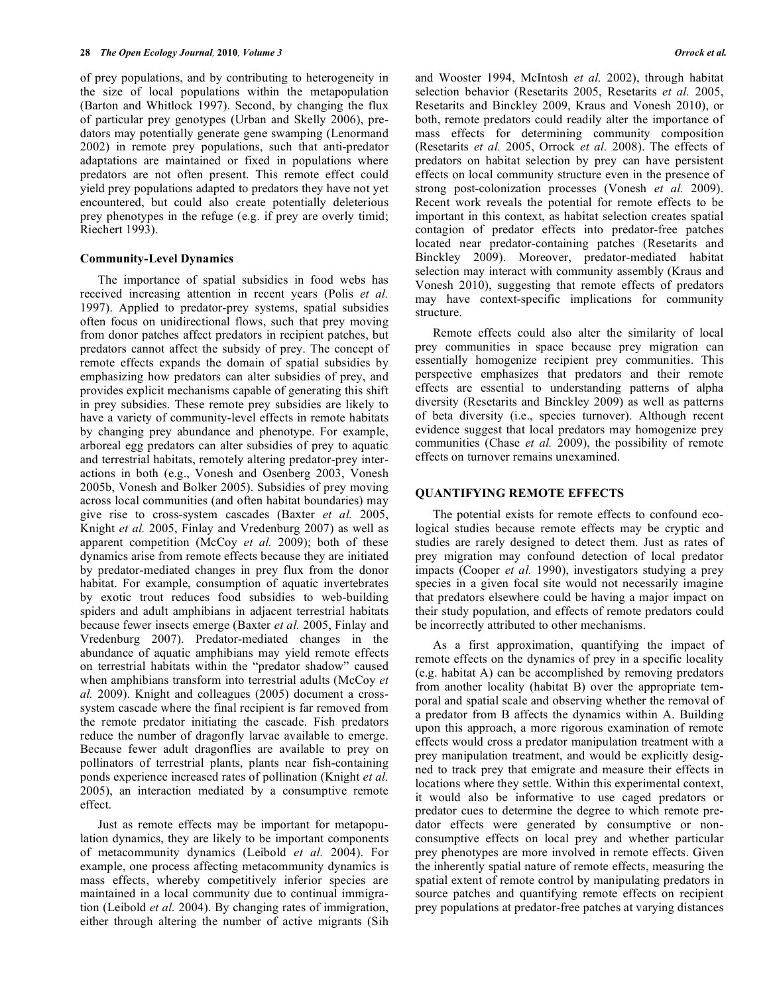of prey populations, and by contributing to heterogeneity in the size of local populations within the metapopulation (Barton and Whitlock 1997). Second, by changing the flux of particular prey genotypes (Urban and Skelly 2006), predators may potentially generate gene swamping (Lenormand 2002) in remote prey populations, such that anti-predator adaptations are maintained or fixed in populations where predators are not often present. This remote effect could yield prey populations adapted to predators they have not yet encountered, but could also create potentially deleterious prey phenotypes in the refuge (e.g. if prey are overly timid; Riechert 1993).

### **Community-Level Dynamics**

The importance of spatial subsidies in food webs has received increasing attention in recent years (Polis *et al.* 1997). Applied to predator-prey systems, spatial subsidies often focus on unidirectional flows, such that prey moving from donor patches affect predators in recipient patches, but predators cannot affect the subsidy of prey. The concept of remote effects expands the domain of spatial subsidies by emphasizing how predators can alter subsidies of prey, and provides explicit mechanisms capable of generating this shift in prey subsidies. These remote prey subsidies are likely to have a variety of community-level effects in remote habitats by changing prey abundance and phenotype. For example, arboreal egg predators can alter subsidies of prey to aquatic and terrestrial habitats, remotely altering predator-prey interactions in both (e.g., Vonesh and Osenberg 2003, Vonesh 2005b, Vonesh and Bolker 2005). Subsidies of prey moving across local communities (and often habitat boundaries) may give rise to cross-system cascades (Baxter *et al.* 2005, Knight *et al.* 2005, Finlay and Vredenburg 2007) as well as apparent competition (McCoy *et al.* 2009); both of these dynamics arise from remote effects because they are initiated by predator-mediated changes in prey flux from the donor habitat. For example, consumption of aquatic invertebrates by exotic trout reduces food subsidies to web-building spiders and adult amphibians in adjacent terrestrial habitats because fewer insects emerge (Baxter *et al.* 2005, Finlay and Vredenburg 2007). Predator-mediated changes in the abundance of aquatic amphibians may yield remote effects on terrestrial habitats within the "predator shadow" caused when amphibians transform into terrestrial adults (McCoy *et al.* 2009). Knight and colleagues (2005) document a crosssystem cascade where the final recipient is far removed from the remote predator initiating the cascade. Fish predators reduce the number of dragonfly larvae available to emerge. Because fewer adult dragonflies are available to prey on pollinators of terrestrial plants, plants near fish-containing ponds experience increased rates of pollination (Knight *et al.* 2005), an interaction mediated by a consumptive remote effect.

Just as remote effects may be important for metapopulation dynamics, they are likely to be important components of metacommunity dynamics (Leibold *et al.* 2004). For example, one process affecting metacommunity dynamics is mass effects, whereby competitively inferior species are maintained in a local community due to continual immigration (Leibold *et al.* 2004). By changing rates of immigration, either through altering the number of active migrants (Sih and Wooster 1994, McIntosh *et al.* 2002), through habitat selection behavior (Resetarits 2005, Resetarits *et al.* 2005, Resetarits and Binckley 2009, Kraus and Vonesh 2010), or both, remote predators could readily alter the importance of mass effects for determining community composition (Resetarits *et al.* 2005, Orrock *et al.* 2008). The effects of predators on habitat selection by prey can have persistent effects on local community structure even in the presence of strong post-colonization processes (Vonesh *et al.* 2009). Recent work reveals the potential for remote effects to be important in this context, as habitat selection creates spatial contagion of predator effects into predator-free patches located near predator-containing patches (Resetarits and Binckley 2009). Moreover, predator-mediated habitat selection may interact with community assembly (Kraus and Vonesh 2010), suggesting that remote effects of predators may have context-specific implications for community structure.

Remote effects could also alter the similarity of local prey communities in space because prey migration can essentially homogenize recipient prey communities. This perspective emphasizes that predators and their remote effects are essential to understanding patterns of alpha diversity (Resetarits and Binckley 2009) as well as patterns of beta diversity (i.e., species turnover). Although recent evidence suggest that local predators may homogenize prey communities (Chase *et al.* 2009), the possibility of remote effects on turnover remains unexamined.

# **QUANTIFYING REMOTE EFFECTS**

The potential exists for remote effects to confound ecological studies because remote effects may be cryptic and studies are rarely designed to detect them. Just as rates of prey migration may confound detection of local predator impacts (Cooper *et al.* 1990), investigators studying a prey species in a given focal site would not necessarily imagine that predators elsewhere could be having a major impact on their study population, and effects of remote predators could be incorrectly attributed to other mechanisms.

As a first approximation, quantifying the impact of remote effects on the dynamics of prey in a specific locality (e.g. habitat A) can be accomplished by removing predators from another locality (habitat B) over the appropriate temporal and spatial scale and observing whether the removal of a predator from B affects the dynamics within A. Building upon this approach, a more rigorous examination of remote effects would cross a predator manipulation treatment with a prey manipulation treatment, and would be explicitly designed to track prey that emigrate and measure their effects in locations where they settle. Within this experimental context, it would also be informative to use caged predators or predator cues to determine the degree to which remote predator effects were generated by consumptive or nonconsumptive effects on local prey and whether particular prey phenotypes are more involved in remote effects. Given the inherently spatial nature of remote effects, measuring the spatial extent of remote control by manipulating predators in source patches and quantifying remote effects on recipient prey populations at predator-free patches at varying distances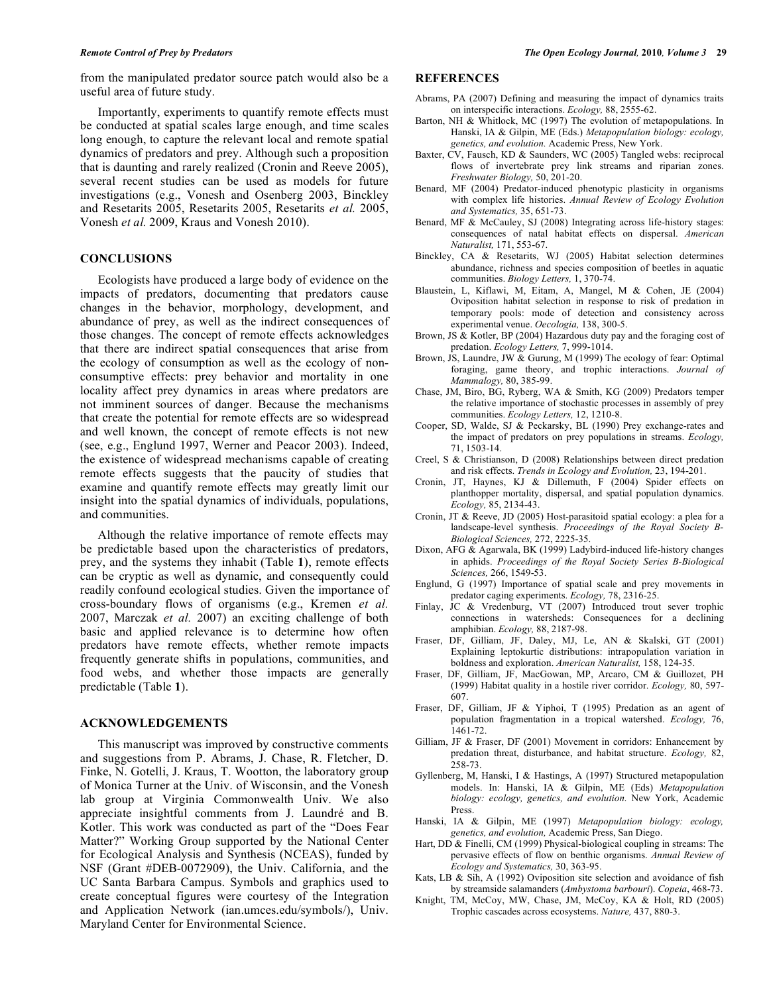from the manipulated predator source patch would also be a useful area of future study.

Importantly, experiments to quantify remote effects must be conducted at spatial scales large enough, and time scales long enough, to capture the relevant local and remote spatial dynamics of predators and prey. Although such a proposition that is daunting and rarely realized (Cronin and Reeve 2005), several recent studies can be used as models for future investigations (e.g., Vonesh and Osenberg 2003, Binckley and Resetarits 2005, Resetarits 2005, Resetarits *et al.* 2005, Vonesh *et al.* 2009, Kraus and Vonesh 2010).

### **CONCLUSIONS**

Ecologists have produced a large body of evidence on the impacts of predators, documenting that predators cause changes in the behavior, morphology, development, and abundance of prey, as well as the indirect consequences of those changes. The concept of remote effects acknowledges that there are indirect spatial consequences that arise from the ecology of consumption as well as the ecology of nonconsumptive effects: prey behavior and mortality in one locality affect prey dynamics in areas where predators are not imminent sources of danger. Because the mechanisms that create the potential for remote effects are so widespread and well known, the concept of remote effects is not new (see, e.g., Englund 1997, Werner and Peacor 2003). Indeed, the existence of widespread mechanisms capable of creating remote effects suggests that the paucity of studies that examine and quantify remote effects may greatly limit our insight into the spatial dynamics of individuals, populations, and communities.

Although the relative importance of remote effects may be predictable based upon the characteristics of predators, prey, and the systems they inhabit (Table **1**), remote effects can be cryptic as well as dynamic, and consequently could readily confound ecological studies. Given the importance of cross-boundary flows of organisms (e.g., Kremen *et al.* 2007, Marczak *et al.* 2007) an exciting challenge of both basic and applied relevance is to determine how often predators have remote effects, whether remote impacts frequently generate shifts in populations, communities, and food webs, and whether those impacts are generally predictable (Table **1**).

# **ACKNOWLEDGEMENTS**

This manuscript was improved by constructive comments and suggestions from P. Abrams, J. Chase, R. Fletcher, D. Finke, N. Gotelli, J. Kraus, T. Wootton, the laboratory group of Monica Turner at the Univ. of Wisconsin, and the Vonesh lab group at Virginia Commonwealth Univ. We also appreciate insightful comments from J. Laundré and B. Kotler. This work was conducted as part of the "Does Fear Matter?" Working Group supported by the National Center for Ecological Analysis and Synthesis (NCEAS), funded by NSF (Grant #DEB-0072909), the Univ. California, and the UC Santa Barbara Campus. Symbols and graphics used to create conceptual figures were courtesy of the Integration and Application Network (ian.umces.edu/symbols/), Univ. Maryland Center for Environmental Science.

## **REFERENCES**

- Abrams, PA (2007) Defining and measuring the impact of dynamics traits on interspecific interactions. *Ecology,* 88, 2555-62.
- Barton, NH & Whitlock, MC (1997) The evolution of metapopulations. In Hanski, IA & Gilpin, ME (Eds.) *Metapopulation biology: ecology, genetics, and evolution.* Academic Press, New York.
- Baxter, CV, Fausch, KD & Saunders, WC (2005) Tangled webs: reciprocal flows of invertebrate prey link streams and riparian zones. *Freshwater Biology,* 50, 201-20.
- Benard, MF (2004) Predator-induced phenotypic plasticity in organisms with complex life histories. *Annual Review of Ecology Evolution and Systematics,* 35, 651-73.
- Benard, MF & McCauley, SJ (2008) Integrating across life-history stages: consequences of natal habitat effects on dispersal. *American Naturalist,* 171, 553-67.
- Binckley, CA & Resetarits, WJ (2005) Habitat selection determines abundance, richness and species composition of beetles in aquatic communities. *Biology Letters,* 1, 370-74.
- Blaustein, L, Kiflawi, M, Eitam, A, Mangel, M & Cohen, JE (2004) Oviposition habitat selection in response to risk of predation in temporary pools: mode of detection and consistency across experimental venue. *Oecologia,* 138, 300-5.
- Brown, JS & Kotler, BP (2004) Hazardous duty pay and the foraging cost of predation. *Ecology Letters,* 7, 999-1014.
- Brown, JS, Laundre, JW & Gurung, M (1999) The ecology of fear: Optimal foraging, game theory, and trophic interactions. *Journal of Mammalogy,* 80, 385-99.
- Chase, JM, Biro, BG, Ryberg, WA & Smith, KG (2009) Predators temper the relative importance of stochastic processes in assembly of prey communities. *Ecology Letters,* 12, 1210-8.
- Cooper, SD, Walde, SJ & Peckarsky, BL (1990) Prey exchange-rates and the impact of predators on prey populations in streams. *Ecology,* 71, 1503-14.
- Creel, S & Christianson, D (2008) Relationships between direct predation and risk effects. *Trends in Ecology and Evolution,* 23, 194-201.
- Cronin, JT, Haynes, KJ & Dillemuth, F (2004) Spider effects on planthopper mortality, dispersal, and spatial population dynamics. *Ecology,* 85, 2134-43.
- Cronin, JT & Reeve, JD (2005) Host-parasitoid spatial ecology: a plea for a landscape-level synthesis. *Proceedings of the Royal Society B-Biological Sciences,* 272, 2225-35.
- Dixon, AFG & Agarwala, BK (1999) Ladybird-induced life-history changes in aphids. *Proceedings of the Royal Society Series B-Biological Sciences,* 266, 1549-53.
- Englund, G (1997) Importance of spatial scale and prey movements in predator caging experiments. *Ecology,* 78, 2316-25.
- Finlay, JC & Vredenburg, VT (2007) Introduced trout sever trophic connections in watersheds: Consequences for a declining amphibian. *Ecology,* 88, 2187-98.
- Fraser, DF, Gilliam, JF, Daley, MJ, Le, AN & Skalski, GT (2001) Explaining leptokurtic distributions: intrapopulation variation in boldness and exploration. *American Naturalist,* 158, 124-35.
- Fraser, DF, Gilliam, JF, MacGowan, MP, Arcaro, CM & Guillozet, PH (1999) Habitat quality in a hostile river corridor. *Ecology,* 80, 597- 607.
- Fraser, DF, Gilliam, JF & Yiphoi, T (1995) Predation as an agent of population fragmentation in a tropical watershed. *Ecology,* 76, 1461-72.
- Gilliam, JF & Fraser, DF (2001) Movement in corridors: Enhancement by predation threat, disturbance, and habitat structure. *Ecology,* 82, 258-73.
- Gyllenberg, M, Hanski, I & Hastings, A (1997) Structured metapopulation models. In: Hanski, IA & Gilpin, ME (Eds) *Metapopulation biology: ecology, genetics, and evolution.* New York, Academic Press.
- Hanski, IA & Gilpin, ME (1997) *Metapopulation biology: ecology, genetics, and evolution,* Academic Press, San Diego.
- Hart, DD & Finelli, CM (1999) Physical-biological coupling in streams: The pervasive effects of flow on benthic organisms. *Annual Review of Ecology and Systematics,* 30, 363-95.
- Kats, LB & Sih, A (1992) Oviposition site selection and avoidance of fish by streamside salamanders (*Ambystoma barbouri*). *Copeia*, 468-73.
- Knight, TM, McCoy, MW, Chase, JM, McCoy, KA & Holt, RD (2005) Trophic cascades across ecosystems. *Nature,* 437, 880-3.